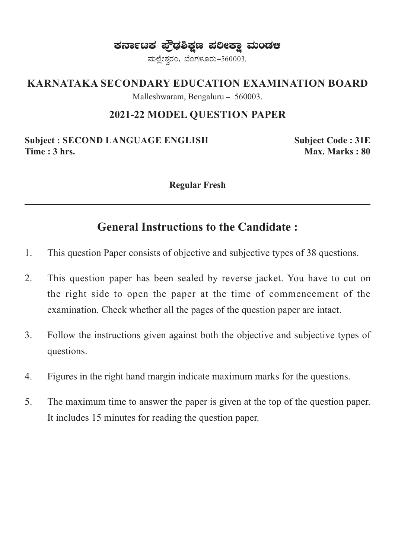ಕರ್ನಾಟಕ ಫ್ರೌಢಶಿಕ್ಷಣ ಪಲೀಕ್ಷಾ ಮಂಡಆ

ಮಲ್ಲೇಶ್ವರಂ, ಬೆಂಗಳೂರು-560003.

#### **KARNATAKA SECONDARY EDUCATION EXAMINATION BOARD**

Malleshwaram, Bengaluru - 560003.

#### **2021-22 MODEL QUESTION PAPER**

**Subject : SECOND LANGUAGE ENGLISH Subject Code : 31E Time : 3 hrs.** Max. Marks : 80

**Regular Fresh**

## **General Instructions to the Candidate :**

- 1. This question Paper consists of objective and subjective types of 38 questions.
- 2. This question paper has been sealed by reverse jacket. You have to cut on the right side to open the paper at the time of commencement of the examination. Check whether all the pages of the question paper are intact.
- 3. Follow the instructions given against both the objective and subjective types of questions.
- 4. Figures in the right hand margin indicate maximum marks for the questions.
- 5. The maximum time to answer the paper is given at the top of the question paper. It includes 15 minutes for reading the question paper.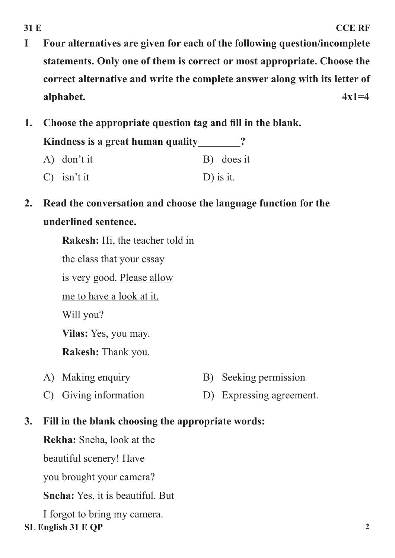- **I Four alternatives are given for each of the following question/incomplete statements. Only one of them is correct or most appropriate. Choose the correct alternative and write the complete answer along with its letter of alphabet. 4x1=4**
- **1. Choose the appropriate question tag and fill in the blank.**

Kindness is a great human quality 2

- A) don't it B) does it
- C) isn't it D) is it.
- **2. Read the conversation and choose the language function for the underlined sentence.**

**Rakesh:** Hi, the teacher told in the class that your essay is very good. Please allow me to have a look at it. Will you? **Vilas:** Yes, you may. **Rakesh:** Thank you.

- A) Making enquiry B) Seeking permission
- C) Giving information D) Expressing agreement.
- **3. Fill in the blank choosing the appropriate words:**

**Rekha:** Sneha, look at the

beautiful scenery! Have

you brought your camera?

**Sneha:** Yes, it is beautiful. But

**SL English 31 E QP 2** I forgot to bring my camera.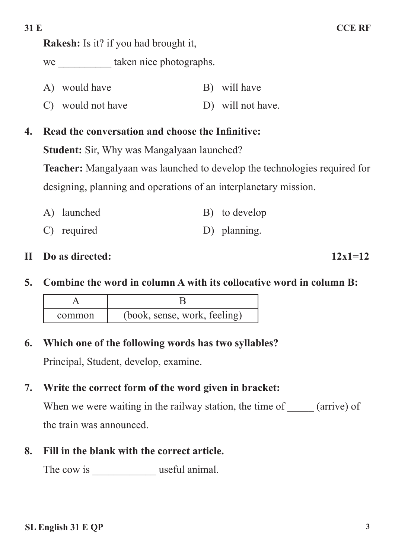**Rakesh:** Is it? if you had brought it,

we taken nice photographs.

- A) would have B) will have
- C) would not have D) will not have.

## **4. Read the conversation and choose the Infinitive:**

**Student:** Sir, Why was Mangalyaan launched?

**Teacher:** Mangalyaan was launched to develop the technologies required for designing, planning and operations of an interplanetary mission.

- A) launched B) to develop
- C) required D) planning.

#### **II Do as directed:**  $12x1=12$

**5. Combine the word in column A with its collocative word in column B:** 

| common | (book, sense, work, feeling) |
|--------|------------------------------|

**6. Which one of the following words has two syllables?**

Principal, Student, develop, examine.

#### **7. Write the correct form of the word given in bracket:**

When we were waiting in the railway station, the time of \_\_\_\_\_ (arrive) of the train was announced.

## **8. Fill in the blank with the correct article.**

The cow is \_\_\_\_\_\_\_\_\_\_\_\_ useful animal.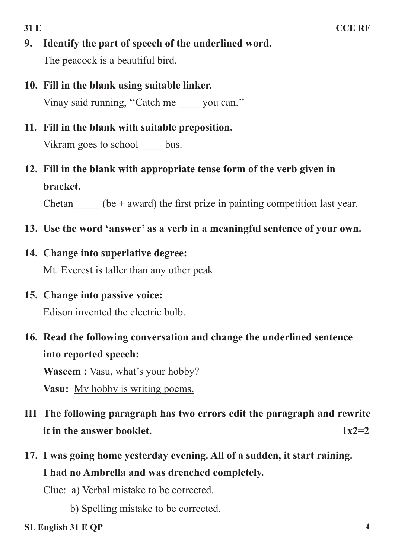- **9. Identify the part of speech of the underlined word.** The peacock is a **beautiful** bird.
- **10. Fill in the blank using suitable linker.** Vinay said running, "Catch me you can."
- **11. Fill in the blank with suitable preposition.** Vikram goes to school bus.
- **12. Fill in the blank with appropriate tense form of the verb given in bracket.**

Chetan  $\qquad$  (be + award) the first prize in painting competition last year.

- **13. Use the word 'answer' as a verb in a meaningful sentence of your own.**
- **14. Change into superlative degree:**

Mt. Everest is taller than any other peak

**15. Change into passive voice:**

Edison invented the electric bulb.

**16. Read the following conversation and change the underlined sentence into reported speech:**

**Waseem :** Vasu, what's your hobby?

**Vasu:** My hobby is writing poems.

- **III The following paragraph has two errors edit the paragraph and rewrite it in the answer booklet.**  $1x2=2$
- **17. I was going home yesterday evening. All of a sudden, it start raining. I had no Ambrella and was drenched completely.**

Clue: a) Verbal mistake to be corrected.

b) Spelling mistake to be corrected.

**SL English 31 E QP 4**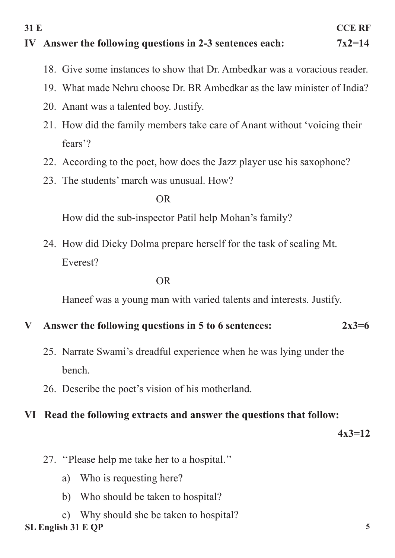#### **IV Answer the following questions in 2-3 sentences each: 7x2=14**

- 18. Give some instances to show that Dr. Ambedkar was a voracious reader.
- 19. What made Nehru choose Dr. BR Ambedkar as the law minister of India?
- 20. Anant was a talented boy. Justify.
- 21. How did the family members take care of Anant without 'voicing their fears'?
- 22. According to the poet, how does the Jazz player use his saxophone?
- 23. The students' march was unusual. How?

#### OR

How did the sub-inspector Patil help Mohan's family?

24. How did Dicky Dolma prepare herself for the task of scaling Mt. Everest?

#### OR

Haneef was a young man with varied talents and interests. Justify.

#### **V Answer the following questions in 5 to 6 sentences: 2x3=6**

- 25. Narrate Swami's dreadful experience when he was lying under the bench.
- 26. Describe the poet's vision of his motherland.

#### **VI Read the following extracts and answer the questions that follow:**

**4x3=12**

- 27. ''Please help me take her to a hospital.''
	- a) Who is requesting here?
	- b) Who should be taken to hospital?
- **SL English 31 E QP 5** c) Why should she be taken to hospital?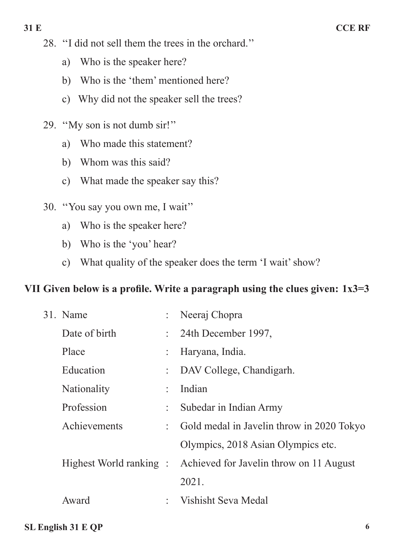- 28. ''I did not sell them the trees in the orchard.''
	- a) Who is the speaker here?
	- b) Who is the 'them' mentioned here?
	- c) Why did not the speaker sell the trees?
- 29. ''My son is not dumb sir!''
	- a) Who made this statement?
	- b) Whom was this said?
	- c) What made the speaker say this?
- 30. ''You say you own me, I wait''
	- a) Who is the speaker here?
	- b) Who is the 'you' hear?
	- c) What quality of the speaker does the term 'I wait' show?

## **VII Given below is a profile. Write a paragraph using the clues given: 1x3=3**

| 31. Name      |                | Neeraj Chopra                                                   |
|---------------|----------------|-----------------------------------------------------------------|
| Date of birth |                | $\therefore$ 24th December 1997,                                |
| Place         |                | Haryana, India.                                                 |
| Education     |                | DAV College, Chandigarh.                                        |
| Nationality   | $\ddot{\cdot}$ | Indian                                                          |
| Profession    |                | Subedar in Indian Army                                          |
| Achievements  |                | : Gold medal in Javelin throw in 2020 Tokyo                     |
|               |                | Olympics, 2018 Asian Olympics etc.                              |
|               |                | Highest World ranking : Achieved for Javelin throw on 11 August |
|               |                | 2021.                                                           |
| Award         |                | Vishisht Seva Medal                                             |
|               |                |                                                                 |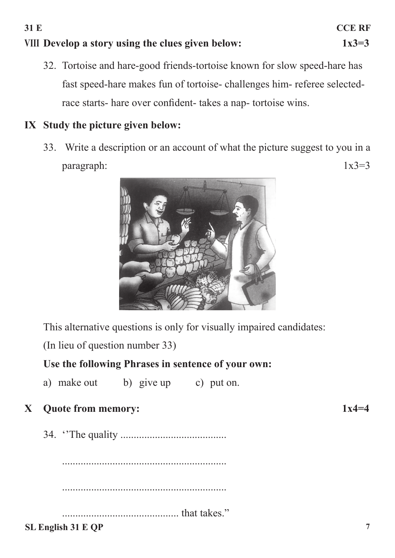# **VIII Develop a story using the clues given below: 1x3=3**

32. Tortoise and hare-good friends-tortoise known for slow speed-hare has fast speed-hare makes fun of tortoise- challenges him- referee selectedrace starts- hare over confident- takes a nap- tortoise wins.

## **IX Study the picture given below:**

33. Write a description or an account of what the picture suggest to you in a  $\mu$  paragraph:  $1x3=3$ 



This alternative questions is only for visually impaired candidates:

(In lieu of question number 33)

## **Use the following Phrases in sentence of your own:**

a) make out b) give up c) put on.

## **X Quote from memory: 1x4=4**

34. ''The quality ........................................

.............................................................. .............................................................. ............................................ that takes."

#### **SL English 31 E QP 7**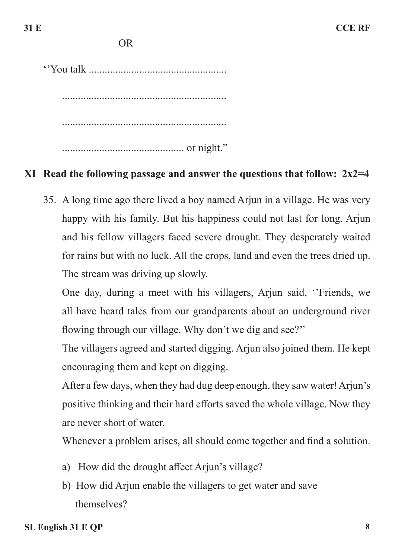''You talk .................................................... .............................................................. .............................................................. .............................................. or night."

#### **XI Read the following passage and answer the questions that follow: 2x2=4**

35. A long time ago there lived a boy named Arjun in a village. He was very happy with his family. But his happiness could not last for long. Arjun and his fellow villagers faced severe drought. They desperately waited for rains but with no luck. All the crops, land and even the trees dried up. The stream was driving up slowly.

One day, during a meet with his villagers, Arjun said, ''Friends, we all have heard tales from our grandparents about an underground river flowing through our village. Why don't we dig and see?''

The villagers agreed and started digging. Arjun also joined them. He kept encouraging them and kept on digging.

After a few days, when they had dug deep enough, they saw water! Arjun's positive thinking and their hard efforts saved the whole village. Now they are never short of water.

Whenever a problem arises, all should come together and find a solution.

- a) How did the drought affect Arjun's village?
- b) How did Arjun enable the villagers to get water and save themselves?